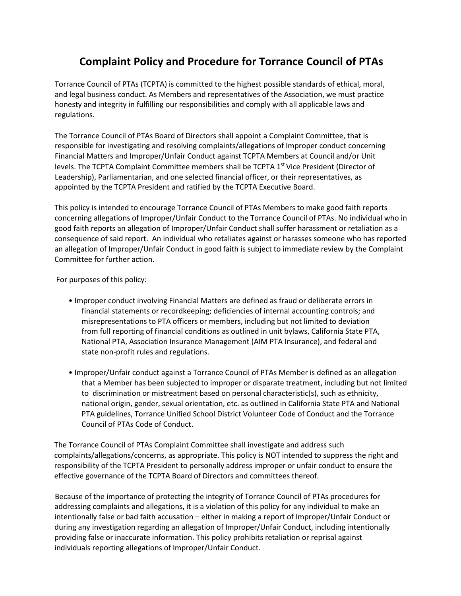## **Complaint Policy and Procedure for Torrance Council of PTAs**

Torrance Council of PTAs (TCPTA) is committed to the highest possible standards of ethical, moral, and legal business conduct. As Members and representatives of the Association, we must practice honesty and integrity in fulfilling our responsibilities and comply with all applicable laws and regulations.

The Torrance Council of PTAs Board of Directors shall appoint a Complaint Committee, that is responsible for investigating and resolving complaints/allegations of Improper conduct concerning Financial Matters and Improper/Unfair Conduct against TCPTA Members at Council and/or Unit levels. The TCPTA Complaint Committee members shall be TCPTA 1<sup>st</sup> Vice President (Director of Leadership), Parliamentarian, and one selected financial officer, or their representatives, as appointed by the TCPTA President and ratified by the TCPTA Executive Board.

This policy is intended to encourage Torrance Council of PTAs Members to make good faith reports concerning allegations of Improper/Unfair Conduct to the Torrance Council of PTAs. No individual who in good faith reports an allegation of Improper/Unfair Conduct shall suffer harassment or retaliation as a consequence of said report. An individual who retaliates against or harasses someone who has reported an allegation of Improper/Unfair Conduct in good faith is subject to immediate review by the Complaint Committee for further action.

For purposes of this policy:

- Improper conduct involving Financial Matters are defined as fraud or deliberate errors in financial statements or recordkeeping; deficiencies of internal accounting controls; and misrepresentations to PTA officers or members, including but not limited to deviation from full reporting of financial conditions as outlined in unit bylaws, California State PTA, National PTA, Association Insurance Management (AIM PTA Insurance), and federal and state non-profit rules and regulations.
- Improper/Unfair conduct against a Torrance Council of PTAs Member is defined as an allegation that a Member has been subjected to improper or disparate treatment, including but not limited to discrimination or mistreatment based on personal characteristic(s), such as ethnicity, national origin, gender, sexual orientation, etc. as outlined in California State PTA and National PTA guidelines, Torrance Unified School District Volunteer Code of Conduct and the Torrance Council of PTAs Code of Conduct.

The Torrance Council of PTAs Complaint Committee shall investigate and address such complaints/allegations/concerns, as appropriate. This policy is NOT intended to suppress the right and responsibility of the TCPTA President to personally address improper or unfair conduct to ensure the effective governance of the TCPTA Board of Directors and committees thereof.

Because of the importance of protecting the integrity of Torrance Council of PTAs procedures for addressing complaints and allegations, it is a violation of this policy for any individual to make an intentionally false or bad faith accusation – either in making a report of Improper/Unfair Conduct or during any investigation regarding an allegation of Improper/Unfair Conduct, including intentionally providing false or inaccurate information. This policy prohibits retaliation or reprisal against individuals reporting allegations of Improper/Unfair Conduct.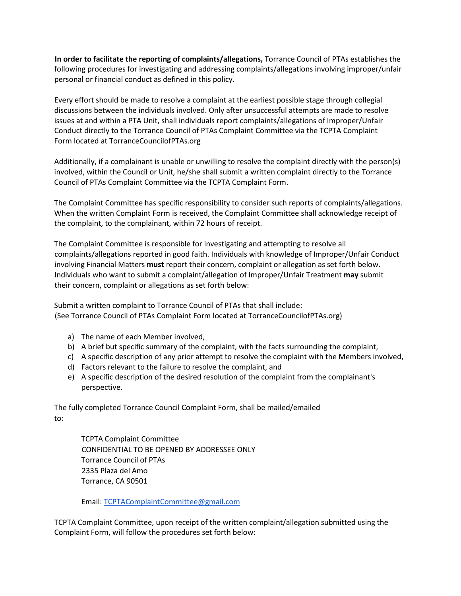**In order to facilitate the reporting of complaints/allegations,** Torrance Council of PTAs establishes the following procedures for investigating and addressing complaints/allegations involving improper/unfair personal or financial conduct as defined in this policy.

Every effort should be made to resolve a complaint at the earliest possible stage through collegial discussions between the individuals involved. Only after unsuccessful attempts are made to resolve issues at and within a PTA Unit, shall individuals report complaints/allegations of Improper/Unfair Conduct directly to the Torrance Council of PTAs Complaint Committee via the TCPTA Complaint Form located at TorranceCouncilofPTAs.org

Additionally, if a complainant is unable or unwilling to resolve the complaint directly with the person(s) involved, within the Council or Unit, he/she shall submit a written complaint directly to the Torrance Council of PTAs Complaint Committee via the TCPTA Complaint Form.

The Complaint Committee has specific responsibility to consider such reports of complaints/allegations. When the written Complaint Form is received, the Complaint Committee shall acknowledge receipt of the complaint, to the complainant, within 72 hours of receipt.

The Complaint Committee is responsible for investigating and attempting to resolve all complaints/allegations reported in good faith. Individuals with knowledge of Improper/Unfair Conduct involving Financial Matters **must** report their concern, complaint or allegation as set forth below. Individuals who want to submit a complaint/allegation of Improper/Unfair Treatment **may** submit their concern, complaint or allegations as set forth below:

Submit a written complaint to Torrance Council of PTAs that shall include: (See Torrance Council of PTAs Complaint Form located at TorranceCouncilofPTAs.org)

- a) The name of each Member involved,
- b) A brief but specific summary of the complaint, with the facts surrounding the complaint,
- c) A specific description of any prior attempt to resolve the complaint with the Members involved,
- d) Factors relevant to the failure to resolve the complaint, and
- e) A specific description of the desired resolution of the complaint from the complainant's perspective.

The fully completed Torrance Council Complaint Form, shall be mailed/emailed to:

> TCPTA Complaint Committee CONFIDENTIAL TO BE OPENED BY ADDRESSEE ONLY Torrance Council of PTAs 2335 Plaza del Amo Torrance, CA 90501

Email: [TCPTAComplaintCommittee@gmail.com](mailto:TCPTAComplaintCommittee@gmail.com)

TCPTA Complaint Committee, upon receipt of the written complaint/allegation submitted using the Complaint Form, will follow the procedures set forth below: